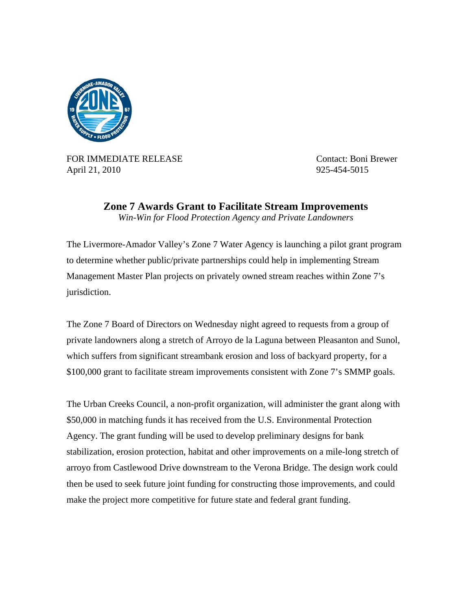

FOR IMMEDIATE RELEASE Contact: Boni Brewer April 21, 2010 925-454-5015

**Zone 7 Awards Grant to Facilitate Stream Improvements**  *Win-Win for Flood Protection Agency and Private Landowners* 

The Livermore-Amador Valley's Zone 7 Water Agency is launching a pilot grant program to determine whether public/private partnerships could help in implementing Stream Management Master Plan projects on privately owned stream reaches within Zone 7's jurisdiction.

The Zone 7 Board of Directors on Wednesday night agreed to requests from a group of private landowners along a stretch of Arroyo de la Laguna between Pleasanton and Sunol, which suffers from significant streambank erosion and loss of backyard property, for a \$100,000 grant to facilitate stream improvements consistent with Zone 7's SMMP goals.

The Urban Creeks Council, a non-profit organization, will administer the grant along with \$50,000 in matching funds it has received from the U.S. Environmental Protection Agency. The grant funding will be used to develop preliminary designs for bank stabilization, erosion protection, habitat and other improvements on a mile-long stretch of arroyo from Castlewood Drive downstream to the Verona Bridge. The design work could then be used to seek future joint funding for constructing those improvements, and could make the project more competitive for future state and federal grant funding.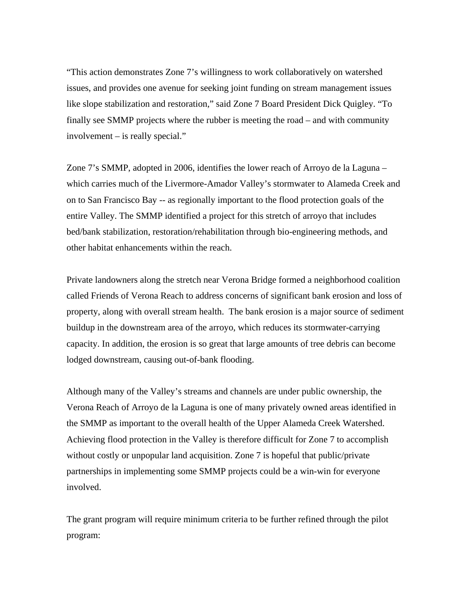"This action demonstrates Zone 7's willingness to work collaboratively on watershed issues, and provides one avenue for seeking joint funding on stream management issues like slope stabilization and restoration," said Zone 7 Board President Dick Quigley. "To finally see SMMP projects where the rubber is meeting the road – and with community involvement – is really special."

Zone 7's SMMP, adopted in 2006, identifies the lower reach of Arroyo de la Laguna – which carries much of the Livermore-Amador Valley's stormwater to Alameda Creek and on to San Francisco Bay -- as regionally important to the flood protection goals of the entire Valley. The SMMP identified a project for this stretch of arroyo that includes bed/bank stabilization, restoration/rehabilitation through bio-engineering methods, and other habitat enhancements within the reach.

Private landowners along the stretch near Verona Bridge formed a neighborhood coalition called Friends of Verona Reach to address concerns of significant bank erosion and loss of property, along with overall stream health. The bank erosion is a major source of sediment buildup in the downstream area of the arroyo, which reduces its stormwater-carrying capacity. In addition, the erosion is so great that large amounts of tree debris can become lodged downstream, causing out-of-bank flooding.

Although many of the Valley's streams and channels are under public ownership, the Verona Reach of Arroyo de la Laguna is one of many privately owned areas identified in the SMMP as important to the overall health of the Upper Alameda Creek Watershed. Achieving flood protection in the Valley is therefore difficult for Zone 7 to accomplish without costly or unpopular land acquisition. Zone 7 is hopeful that public/private partnerships in implementing some SMMP projects could be a win-win for everyone involved.

The grant program will require minimum criteria to be further refined through the pilot program: